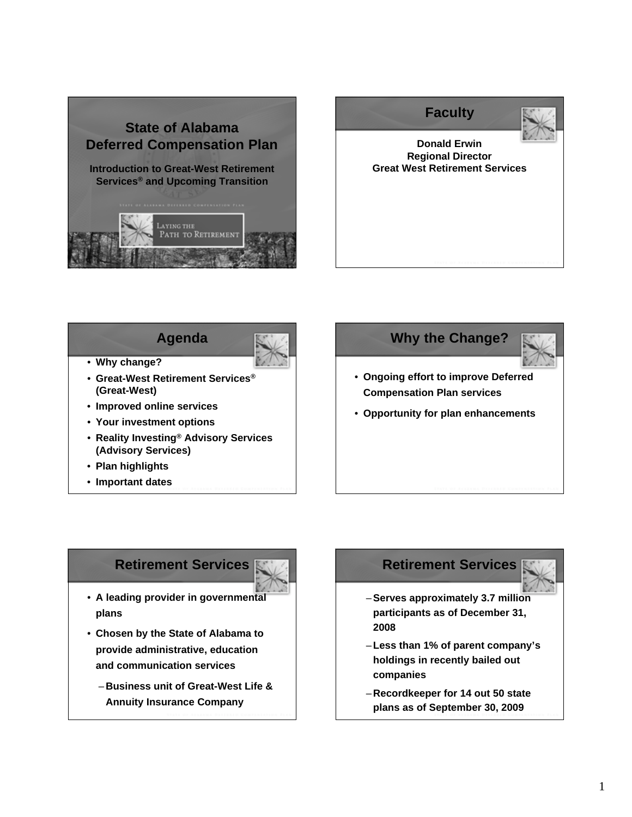



**Agenda**



- **Why change?**
- **Great-West Retirement Services® (Great-West)**
- **Improved online services**
- **Your investment options**
- **Reality Investing® Advisory Services (Advisory Services)**
- **Plan highlights**
- **Important dates** <sup>4</sup>



## **Retirement Services**



- **A leading provider in governmental plans**
- **Chosen by the State of Alabama to provide administrative, education and communication services**
	- **Business unit of Great-West Life & Annuity Insurance Company** <sup>6</sup>

# **Retirement Services**



- –**Serves approximately 3.7 million participants as of December 31, 2008**
- –**Less than 1% of parent company's holdings in recently bailed out companies**
- **Recordkeeper for 14 out 50 state plans as of September 30, 2009**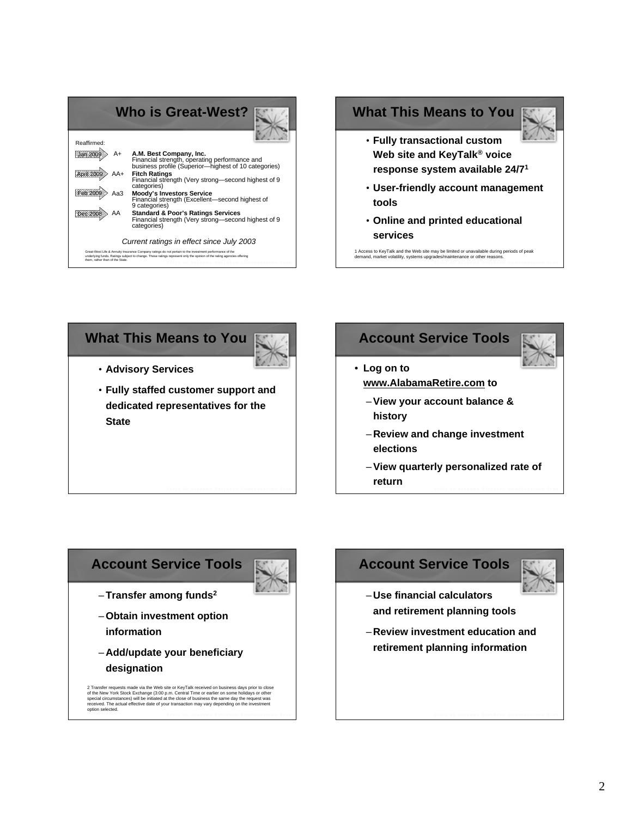|                                 | <b>Who is Great-West?</b>                                                                                                                                                                                                        |
|---------------------------------|----------------------------------------------------------------------------------------------------------------------------------------------------------------------------------------------------------------------------------|
| Reaffirmed:                     |                                                                                                                                                                                                                                  |
| A+                              | A.M. Best Company, Inc.<br>Financial strength, operating performance and<br>business profile (Superior—highest of 10 categories)                                                                                                 |
|                                 | <b>Fitch Ratings</b><br>Financial strength (Very strong-second highest of 9<br>categories)                                                                                                                                       |
| АаЗ                             | <b>Moody's Investors Service</b><br>Financial strength (Excellent-second highest of<br>9 categories)                                                                                                                             |
|                                 | <b>Standard &amp; Poor's Ratings Services</b><br>Financial strength (Very strong—second highest of 9<br>categories)                                                                                                              |
|                                 | Current ratings in effect since July 2003                                                                                                                                                                                        |
| them, rather than of the State. | Great-West Life & Annuity Insurance Company ratings do not pertain to the investment performance of the<br>underlying funds. Ratings subject to change. These ratings represent only the goinion of the rating agencies offering |



# **What This Means to You**



- **Advisory Services**
- **Fully staffed customer support and dedicated representatives for the State**

#### **Account Service Tools**



#### • **Log on to www.AlabamaRetire.com to**

- –**View your account balance & history**
- **Review and change investment elections**
- –**View quarterly personalized rate of return**

## **Account Service Tools**



- –**Transfer among funds2**
- –**Obtain investment option information**
- **Add/update your beneficiary designation**

2 Transfer requests made via the Web site or KeyTalk received on business days prior to close<br>of the New York Stock Exchange (3:00 p.m. Central Time or earlier on some holidays or other<br>special circumstances) will be initi

# **Account Service Tools**



- **Use financial calculators and retirement planning tools**
- **Review investment education and retirement planning information**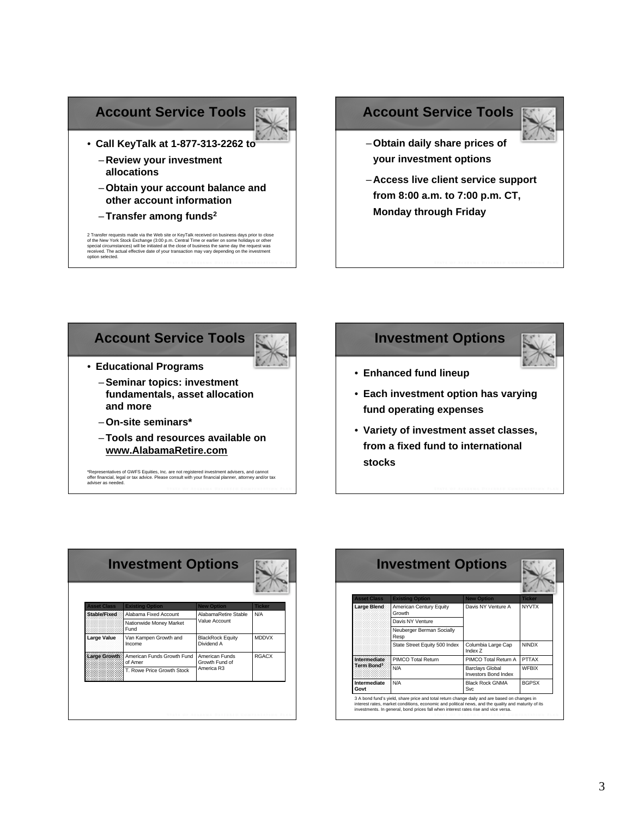#### **Account Service Tools**



• **Call KeyTalk at 1-877-313-2262 to** – **Review your investment**

**allocations**

- –**Obtain your account balance and other account information**
- –**Transfer among funds2**

2 Transfer requests made via the Web site or KeyTalk received on business days prior to close<br>of the New York Stock Exchange (3:00 p.m. Central Trime or earlier on some holidays or other<br>special circumstances) will be init

#### **Account Service Tools**



- –**Obtain daily share prices of your investment options**
- **Access live client service support from 8:00 a.m. to 7:00 p.m. CT, Monday through Friday**





- **Educational Programs**
	- –**Seminar topics: investment fundamentals, asset allocation and more**
	- –**On-site seminars\***
	- –**Tools and resources available on www.AlabamaRetire.com**

\*Representatives of GWFS Equities, Inc. are not registered investment advisers, and cannot<br>offer financial, legal or tax advice. Please consult with your financial planner, attorney and/or tax<br>adviser as needed.

**Investment Options**



- **Enhanced fund lineup**
- **Each investment option has varying fund operating expenses**
- **Variety of investment asset classes, from a fixed fund to international stocks**

| <b>Asset Class</b>  | <b>Existing Option</b>                | <b>New Option</b>                              | <b>Ticker</b> |
|---------------------|---------------------------------------|------------------------------------------------|---------------|
| <b>Stable/Fixed</b> | Alabama Fixed Account                 | AlabamaRetire Stable                           | N/A           |
|                     | Nationwide Money Market<br>Fund       | Value Account                                  |               |
| Large Value         | Van Kampen Growth and<br>Income       | <b>BlackRock Equity</b><br>Dividend A          | <b>MDDVX</b>  |
| Large Growth        | American Funds Growth Fund<br>of Amer | American Funds<br>Growth Fund of<br>America R3 | <b>RGACX</b>  |
|                     | T. Rowe Price Growth Stock            |                                                |               |

| <b>Asset Class</b>                     | <b>Existing Option</b>            | <b>New Option</b>                                     | <b>Ticker</b> |
|----------------------------------------|-----------------------------------|-------------------------------------------------------|---------------|
| <b>Large Blend</b>                     | American Century Equity<br>Growth | Davis NY Venture A                                    | <b>NYVTX</b>  |
|                                        | Davis NY Venture                  |                                                       |               |
|                                        | Neuberger Berman Socially<br>Resp |                                                       |               |
|                                        | State Street Equity 500 Index     | Columbia Large Cap<br>Index 7                         | <b>NINDX</b>  |
| Intermediate<br>Term Bond <sup>3</sup> | PIMCO Total Return                | PIMCO Total Return A                                  | PTTAX         |
|                                        | N/A                               | <b>Barclays Global</b><br><b>Investors Bond Index</b> | <b>WFBIX</b>  |
| Intermediate<br>Govt                   | N/A                               | <b>Black Rock GNMA</b><br><b>Svc</b>                  | <b>BGPSX</b>  |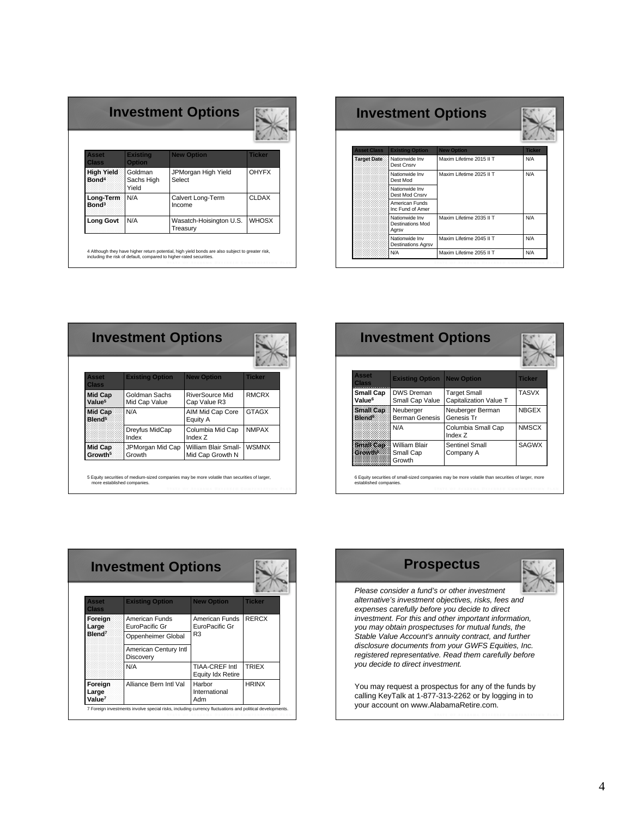| Asset<br>Class                         | <b>Existing</b><br><b>Option</b> | <b>New Option</b>                   | <b>Ticker</b> |
|----------------------------------------|----------------------------------|-------------------------------------|---------------|
| <b>High Yield</b><br>Bond <sup>4</sup> | Goldman<br>Sachs High<br>Yield   | JPMorgan High Yield<br>Select       | <b>OHYFX</b>  |
| Long-Term<br>Bond <sup>3</sup>         | N/A                              | Calvert Long-Term<br>Income         | <b>CLDAX</b>  |
| <b>Long Govt</b>                       | N/A                              | Wasatch-Hoisington U.S.<br>Treasury | <b>WHOSX</b>  |

| <b>Investment Options</b> |                                             |                          |               |
|---------------------------|---------------------------------------------|--------------------------|---------------|
| <b>Asset Class</b>        | <b>Existing Option</b>                      | <b>New Option</b>        | <b>Ticker</b> |
| <b>Target Date</b>        | Nationwide Inv<br>Dest Cnsrv                | Maxim Lifetime 2015 II T | N/A           |
|                           | Nationwide Inv<br>Dest Mod                  | Maxim Lifetime 2025 II T | N/A           |
|                           | Nationwide Inv<br>Dest Mod Cnsrv            |                          |               |
|                           | American Funds<br>Inc Fund of Amer          |                          |               |
|                           | Nationwide Inv<br>Destinations Mod<br>Aarsv | Maxim Lifetime 2035 II T | N/A           |
|                           | Nationwide Inv<br><b>Destinations Agrsv</b> | Maxim Lifetime 2045 II T | N/A           |
|                           | N/A                                         | Maxim Lifetime 2055 II T | N/A           |

| <b>Asset</b><br><b>Class</b>         | <b>Existing Option</b>         | <b>New Option</b>                        | <b>Ticker</b> |
|--------------------------------------|--------------------------------|------------------------------------------|---------------|
| <b>Mid Cap</b><br>Value <sup>5</sup> | Goldman Sachs<br>Mid Cap Value | RiverSource Mid<br>Cap Value R3          | <b>RMCRX</b>  |
| Mid Cap<br>Blend <sup>5</sup>        | N/A                            | AIM Mid Cap Core<br>Equity A             | <b>GTAGX</b>  |
|                                      | Dreyfus MidCap<br>Index        | Columbia Mid Cap<br>Index <sub>7</sub>   | <b>NMPAX</b>  |
| Mid Cap<br>Growth <sup>5</sup>       | JPMorgan Mid Cap<br>Growth     | William Blair Small-<br>Mid Cap Growth N | <b>WSMNX</b>  |

|                              | <b>Investment Options</b>      |                                          |               |                                        | <b>Investment Options</b>                   |                                               |               |
|------------------------------|--------------------------------|------------------------------------------|---------------|----------------------------------------|---------------------------------------------|-----------------------------------------------|---------------|
| sset<br>lass                 | <b>Existing Option</b>         | <b>New Option</b>                        | <b>Ticker</b> | <b>Asset</b><br><b>Class</b>           | <b>Existing Option</b>                      | <b>New Option</b>                             | <b>Ticker</b> |
| lid Cap<br>alue <sup>5</sup> | Goldman Sachs<br>Mid Cap Value | RiverSource Mid<br>Cap Value R3          | <b>RMCRX</b>  | <b>Small Cap</b><br>Value <sup>6</sup> | <b>DWS Dreman</b><br>Small Cap Value        | <b>Target Small</b><br>Capitalization Value T | <b>TASVX</b>  |
| id Cap<br>lend <sup>5</sup>  | N/A                            | AIM Mid Cap Core<br>Equity A             | <b>GTAGX</b>  | Small Cap<br>Blend <sup>6</sup>        | Neuberger<br>Berman Genesis                 | Neuberger Berman<br>Genesis Tr                | <b>NBGEX</b>  |
|                              | Dreyfus MidCap<br>Index        | Columbia Mid Cap<br>Index Z              | <b>NMPAX</b>  |                                        | N/A                                         | Columbia Small Cap<br>Index Z                 | <b>NMSCX</b>  |
| id Cap<br>rowth <sup>5</sup> | JPMorgan Mid Cap<br>Growth     | William Blair Small-<br>Mid Cap Growth N | <b>WSMNX</b>  | Small Cap<br><b>Growth</b>             | <b>William Blair</b><br>Small Cap<br>Growth | Sentinel Small<br>Company A                   | <b>SAGWX</b>  |

|                                        | <b>Investment Options</b>          |                                            |               | <b>Prospectus</b>                                                                                                                                       |
|----------------------------------------|------------------------------------|--------------------------------------------|---------------|---------------------------------------------------------------------------------------------------------------------------------------------------------|
| <b>Asset</b><br><b>Class</b>           | <b>Existing Option</b>             | <b>New Option</b>                          | <b>Ticker</b> | Please consider a fund's or other investment<br>alternative's investment objectives, risks, fees and<br>expenses carefully before you decide to direct  |
| Foreign<br>Large                       | American Funds<br>EuroPacific Gr   | American Funds<br>EuroPacific Gr           | <b>RERCX</b>  | investment. For this and other important information,<br>you may obtain prospectuses for mutual funds, the                                              |
| Blend <sup>7</sup>                     | Oppenheimer Global                 | R <sub>3</sub>                             |               | Stable Value Account's annuity contract, and further                                                                                                    |
|                                        | American Century Intl<br>Discovery |                                            |               | disclosure documents from your GWFS Equities, Inc.<br>registered representative. Read them carefully before                                             |
|                                        | N/A                                | <b>TIAA-CREF Intl</b><br>Equity Idx Retire | <b>TRIEX</b>  | you decide to direct investment.                                                                                                                        |
| Foreign<br>Large<br>Value <sup>7</sup> | Alliance Bern Intl Val             | Harbor<br>International<br>Adm             | <b>HRINX</b>  | You may request a prospectus for any of the funds by<br>calling KeyTalk at 1-877-313-2262 or by logging in to<br>your account on www.AlabamaRetire.com. |

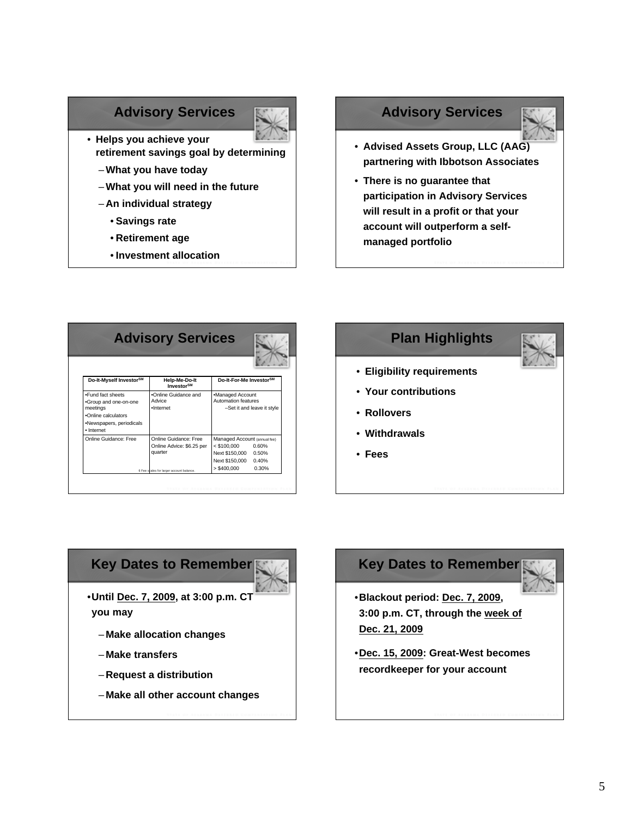## **Advisory Services**



- **Helps you achieve your retirement savings goal by determining**
	- –**What you have today**
	- –**What you will need in the future**
	- **An individual strategy**
		- **Savings rate**
		- **Retirement age**
		- **Investment allocation** <sup>26</sup>

# **Advisory Services**



- **Advised Assets Group, LLC (AAG) partnering with Ibbotson Associates**
- **There is no guarantee that participation in Advisory Services will result in a profit or that your account will outperform a selfmanaged portfolio**

| <b>Advisory Services</b>                                                                                                |                                                                                                           |                                                                                                  |                                  |  |  |
|-------------------------------------------------------------------------------------------------------------------------|-----------------------------------------------------------------------------------------------------------|--------------------------------------------------------------------------------------------------|----------------------------------|--|--|
| Do-It-Myself Investor <sup>SM</sup>                                                                                     | Help-Me-Do-It<br>Investor <sup>SM</sup>                                                                   | Do-It-For-Me InvestorSM                                                                          |                                  |  |  |
| .Fund fact sheets<br>.Group and one-on-one<br>meetings<br>.Online calculators<br>•Newspapers, periodicals<br>· Internet | .Online Guidance and<br>Advice<br>·Internet                                                               | •Managed Account<br>Automation features<br>-Set it and leave it style                            |                                  |  |  |
| Online Guidance: Free                                                                                                   | Online Guidance: Free<br>Online Advice: \$6.25 per<br>quarter<br>6 Fee scales for larger account balance. | Managed Account (annual fee)<br>$<$ \$100,000<br>Next \$150,000<br>Next \$150,000<br>> \$400,000 | 0.60%<br>0.50%<br>0.40%<br>0.30% |  |  |

# **Plan Highlights** • **Eligibility requirements** • **Your contributions** • **Rollovers** • **Withdrawals** • **Fees**



•**Until Dec. 7, 2009, at 3:00 p.m. CT you may**

- **Make allocation changes**
- **Make transfers**
- **Request a distribution**
- **Make all other account changes**



- •**Blackout period: Dec. 7, 2009, 3:00 p.m. CT, through the week of Dec. 21, 2009**
- •**Dec. 15, 2009: Great-West becomes recordkeeper for your account**